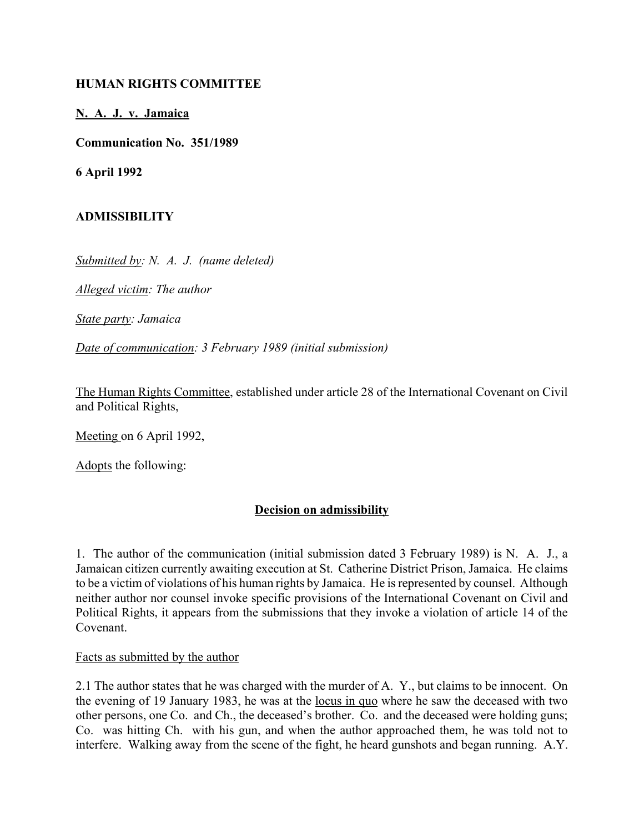### **HUMAN RIGHTS COMMITTEE**

### **N. A. J. v. Jamaica**

**Communication No. 351/1989**

**6 April 1992**

## **ADMISSIBILITY**

*Submitted by: N. A. J. (name deleted)*

*Alleged victim: The author*

*State party: Jamaica*

*Date of communication: 3 February 1989 (initial submission)*

The Human Rights Committee, established under article 28 of the International Covenant on Civil and Political Rights,

Meeting on 6 April 1992,

Adopts the following:

## **Decision on admissibility**

1. The author of the communication (initial submission dated 3 February 1989) is N. A. J., a Jamaican citizen currently awaiting execution at St. Catherine District Prison, Jamaica. He claims to be a victim of violations of his human rights by Jamaica. He is represented by counsel. Although neither author nor counsel invoke specific provisions of the International Covenant on Civil and Political Rights, it appears from the submissions that they invoke a violation of article 14 of the Covenant.

#### Facts as submitted by the author

2.1 The author states that he was charged with the murder of A. Y., but claims to be innocent. On the evening of 19 January 1983, he was at the locus in quo where he saw the deceased with two other persons, one Co. and Ch., the deceased's brother. Co. and the deceased were holding guns; Co. was hitting Ch. with his gun, and when the author approached them, he was told not to interfere. Walking away from the scene of the fight, he heard gunshots and began running. A.Y.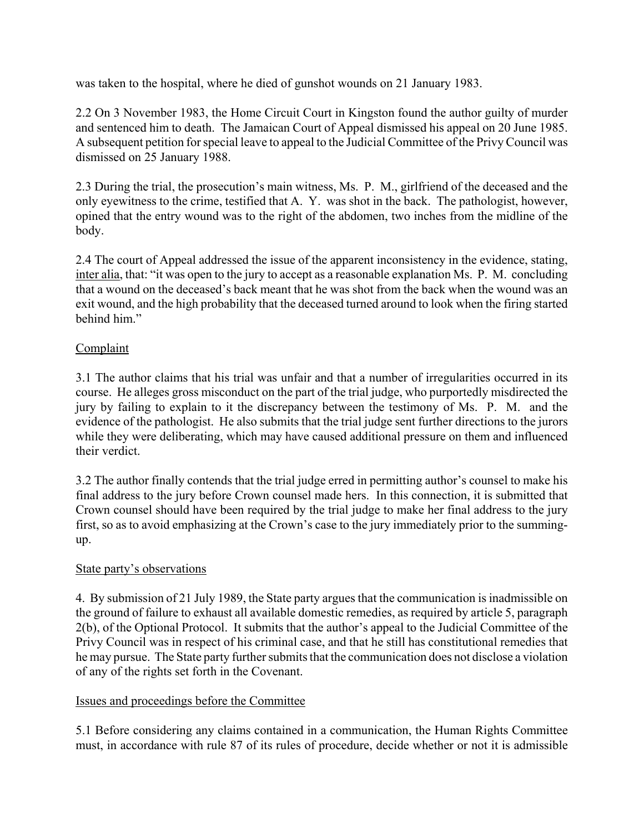was taken to the hospital, where he died of gunshot wounds on 21 January 1983.

2.2 On 3 November 1983, the Home Circuit Court in Kingston found the author guilty of murder and sentenced him to death. The Jamaican Court of Appeal dismissed his appeal on 20 June 1985. A subsequent petition for special leave to appeal to the Judicial Committee of the Privy Council was dismissed on 25 January 1988.

2.3 During the trial, the prosecution's main witness, Ms. P. M., girlfriend of the deceased and the only eyewitness to the crime, testified that A. Y. was shot in the back. The pathologist, however, opined that the entry wound was to the right of the abdomen, two inches from the midline of the body.

2.4 The court of Appeal addressed the issue of the apparent inconsistency in the evidence, stating, inter alia, that: "it was open to the jury to accept as a reasonable explanation Ms. P. M. concluding that a wound on the deceased's back meant that he was shot from the back when the wound was an exit wound, and the high probability that the deceased turned around to look when the firing started behind him."

## Complaint

3.1 The author claims that his trial was unfair and that a number of irregularities occurred in its course. He alleges gross misconduct on the part of the trial judge, who purportedly misdirected the jury by failing to explain to it the discrepancy between the testimony of Ms. P. M. and the evidence of the pathologist. He also submits that the trial judge sent further directions to the jurors while they were deliberating, which may have caused additional pressure on them and influenced their verdict.

3.2 The author finally contends that the trial judge erred in permitting author's counsel to make his final address to the jury before Crown counsel made hers. In this connection, it is submitted that Crown counsel should have been required by the trial judge to make her final address to the jury first, so as to avoid emphasizing at the Crown's case to the jury immediately prior to the summingup.

# State party's observations

4. By submission of 21 July 1989, the State party argues that the communication is inadmissible on the ground of failure to exhaust all available domestic remedies, as required by article 5, paragraph 2(b), of the Optional Protocol. It submits that the author's appeal to the Judicial Committee of the Privy Council was in respect of his criminal case, and that he still has constitutional remedies that he may pursue. The State party further submits that the communication does not disclose a violation of any of the rights set forth in the Covenant.

# Issues and proceedings before the Committee

5.1 Before considering any claims contained in a communication, the Human Rights Committee must, in accordance with rule 87 of its rules of procedure, decide whether or not it is admissible